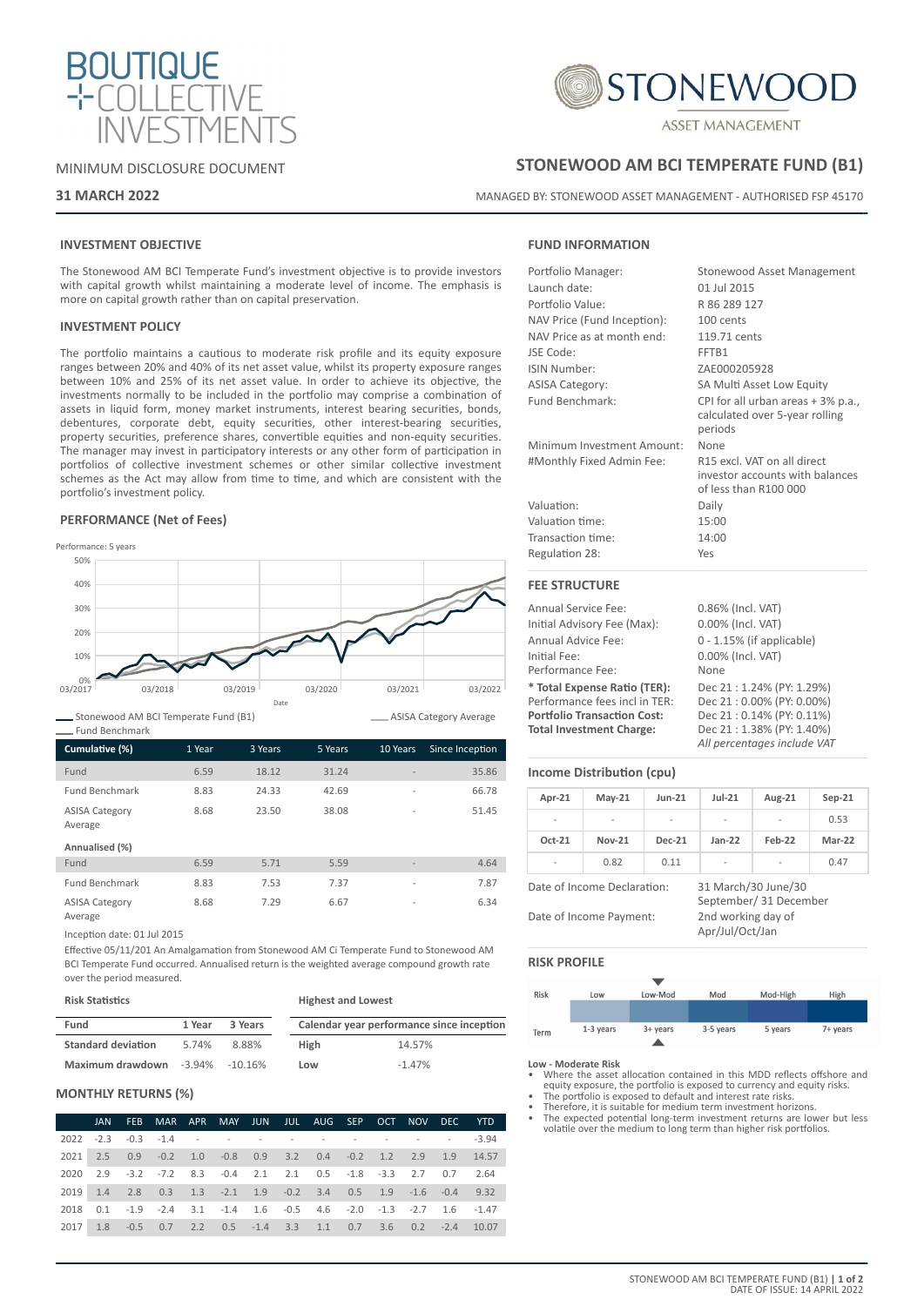



### MINIMUM DISCLOSURE DOCUMENT

### **31 MARCH 2022**

# **STONEWOOD AM BCI TEMPERATE FUND (B1)**

MANAGED BY: STONEWOOD ASSET MANAGEMENT - AUTHORISED FSP 45170

## **INVESTMENT OBJECTIVE**

The Stonewood AM BCI Temperate Fund's investment objective is to provide investors with capital growth whilst maintaining a moderate level of income. The emphasis is more on capital growth rather than on capital preservation.

#### **INVESTMENT POLICY**

The portfolio maintains a cautious to moderate risk profile and its equity exposure ranges between 20% and 40% of its net asset value, whilst its property exposure ranges between 10% and 25% of its net asset value. In order to achieve its objective, the investments normally to be included in the portfolio may comprise a combination of assets in liquid form, money market instruments, interest bearing securities, bonds, debentures, corporate debt, equity securities, other interest-bearing securities, property securities, preference shares, convertible equities and non-equity securities. The manager may invest in participatory interests or any other form of participation in portfolios of collective investment schemes or other similar collective investment schemes as the Act may allow from time to time, and which are consistent with the portfolio's investment policy.

#### **PERFORMANCE (Net of Fees)**



Stonewood AM BCI Temperate Fund (B1) Fund Benchmark

| Cumulative (%)                   | 1 Year | 3 Years | 5 Years | 10 Years                 | Since Inception |
|----------------------------------|--------|---------|---------|--------------------------|-----------------|
| Fund                             | 6.59   | 18.12   | 31.24   |                          | 35.86           |
| <b>Fund Benchmark</b>            | 8.83   | 24.33   | 42.69   | $\overline{a}$           | 66.78           |
| <b>ASISA Category</b><br>Average | 8.68   | 23.50   | 38.08   | $\overline{a}$           | 51.45           |
| Annualised (%)                   |        |         |         |                          |                 |
| Fund                             | 6.59   | 5.71    | 5.59    |                          | 4.64            |
| <b>Fund Benchmark</b>            | 8.83   | 7.53    | 7.37    | $\overline{a}$           | 7.87            |
| <b>ASISA Category</b><br>Average | 8.68   | 7.29    | 6.67    | $\overline{\phantom{a}}$ | 6.34            |

Inception date: 01 Jul 2015

Effective 05/11/201 An Amalgamation from Stonewood AM Ci Temperate Fund to Stonewood AM BCI Temperate Fund occurred. Annualised return is the weighted average compound growth rate over the period measured.

| <b>Risk Statistics</b>    |        |            | <b>Highest and Lowest</b> |                                           |  |  |
|---------------------------|--------|------------|---------------------------|-------------------------------------------|--|--|
| Fund                      | 1 Year | 3 Years    |                           | Calendar year performance since inception |  |  |
| <b>Standard deviation</b> | 5.74%  | 8.88%      | High                      | 14.57%                                    |  |  |
| Maximum drawdown -3.94%   |        | $-10.16\%$ | Low                       | $-1.47%$                                  |  |  |

### **MONTHLY RETURNS (%)**

|      | JAN | FEB MAR APR MAY JUN JUL AUG SEP OCT NOV DEC YTD                                        |  |  |  |  |  |
|------|-----|----------------------------------------------------------------------------------------|--|--|--|--|--|
|      |     | 2022 -2.3 -0.3 -1.4 - - - - - - - - - - - - - -3.94                                    |  |  |  |  |  |
|      |     | 2021 2.5 0.9 -0.2 1.0 -0.8 0.9 3.2 0.4 -0.2 1.2 2.9 1.9 14.57                          |  |  |  |  |  |
|      |     | 2020 2.9 -3.2 -7.2 8.3 -0.4 2.1 2.1 0.5 -1.8 -3.3 2.7 0.7 2.64                         |  |  |  |  |  |
|      |     | 2019 1.4 2.8 0.3 1.3 -2.1 1.9 -0.2 3.4 0.5 1.9 -1.6 -0.4 9.32                          |  |  |  |  |  |
| 2018 |     | $0.1$ $-1.9$ $-2.4$ $3.1$ $-1.4$ $1.6$ $-0.5$ $4.6$ $-2.0$ $-1.3$ $-2.7$ $1.6$ $-1.47$ |  |  |  |  |  |
| 2017 |     | 1.8 -0.5 0.7 2.2 0.5 -1.4 3.3 1.1 0.7 3.6 0.2 -2.4 10.07                               |  |  |  |  |  |

### **FUND INFORMATION**

| Portfolio Manager:          | <b>Stonewood Asset Management</b>                                                       |
|-----------------------------|-----------------------------------------------------------------------------------------|
| Launch date:                | 01 Iul 2015                                                                             |
| Portfolio Value:            | R 86 289 127                                                                            |
| NAV Price (Fund Inception): | 100 cents                                                                               |
| NAV Price as at month end:  | 119.71 cents                                                                            |
| JSE Code:                   | FFTR1                                                                                   |
| ISIN Number:                | ZAE000205928                                                                            |
| <b>ASISA Category:</b>      | SA Multi Asset Low Equity                                                               |
| Fund Benchmark:             | CPI for all urban areas + 3% p.a.,<br>calculated over 5-year rolling<br>periods         |
| Minimum Investment Amount:  | None                                                                                    |
| #Monthly Fixed Admin Fee:   | R15 excl. VAT on all direct<br>investor accounts with balances<br>of less than R100 000 |
| Valuation:                  | Daily                                                                                   |
| Valuation time:             | 15:00                                                                                   |
| Transaction time:           | 14:00                                                                                   |
| Regulation 28:              | Yes                                                                                     |
| <b>FEE STRUCTURE</b>        |                                                                                         |
| Annual Service Fee:         | 0.86% (Incl. VAT)                                                                       |
| Initial Advisory Eog (May): | $0.000($ (lncl $1/AT$ )                                                                 |

|                                    | $0.0070$ (iiiui, <i>vi</i> $\pi$ ) |
|------------------------------------|------------------------------------|
| Initial Advisory Fee (Max):        | 0.00% (Incl. VAT)                  |
| Annual Advice Fee:                 | $0 - 1.15\%$ (if applicable)       |
| Initial Fee:                       | 0.00% (Incl. VAT)                  |
| Performance Fee:                   | None                               |
| * Total Expense Ratio (TER):       | Dec 21: 1.24% (PY: 1.29%)          |
| Performance fees incl in TER:      | Dec 21:0.00% (PY: 0.00%)           |
| <b>Portfolio Transaction Cost:</b> | Dec 21:0.14% (PY: 0.11%)           |
| <b>Total Investment Charge:</b>    | Dec 21:1.38% (PY: 1.40%)           |
|                                    | All percentages include VAT        |

### **Income Distribution (cpu)**

ASISA Category Average

| Apr-21                                                 | $May-21$ | $Jun-21$ | $Jul-21$                              | Aug-21                                        | $Sep-21$ |
|--------------------------------------------------------|----------|----------|---------------------------------------|-----------------------------------------------|----------|
|                                                        |          |          |                                       |                                               | 0.53     |
| $Oct-21$                                               | Nov-21   | Dec-21   | $lan-22$                              | <b>Feb-22</b>                                 | $Mar-22$ |
|                                                        | 0.82     | 0.11     |                                       |                                               | 0.47     |
| Date of Income Declaration:<br>Date of Income Payment: |          |          | 2nd working day of<br>Apr/Jul/Oct/Jan | 31 March/30 June/30<br>September/ 31 December |          |

### **RISK PROFILE**

| Risk | Low       | Low-Mod  | Mod       | Mod-High | High     |
|------|-----------|----------|-----------|----------|----------|
|      |           |          |           |          |          |
|      |           |          |           |          |          |
| Term | 1-3 years | 3+ years | 3-5 years | 5 years  | 7+ years |
|      |           |          |           |          |          |

#### **Low - Moderate Risk**

- Where the asset allocation contained in this MDD reflects offshore and equity exposure, the portfolio is exposed to currency and equity risks. • The portfolio is exposed to default and interest rate risks.
- 
- Therefore, it is suitable for medium term investment horizons.
- The expected potential long-term investment returns are lower but less volatile over the medium to long term than higher risk portfolios.